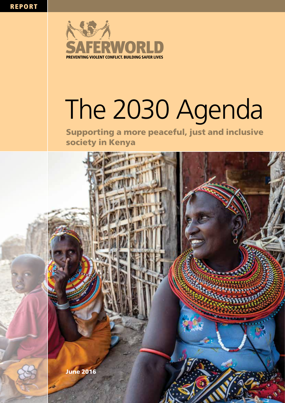

### The 2030 Agenda The 2030

Supporting a more peaceful, just and inclusive society in Kenya

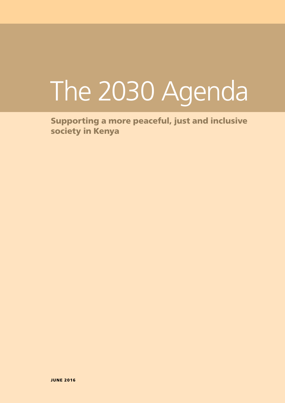# The 2030 Agenda

Supporting a more peaceful, just and inclusive society in Kenya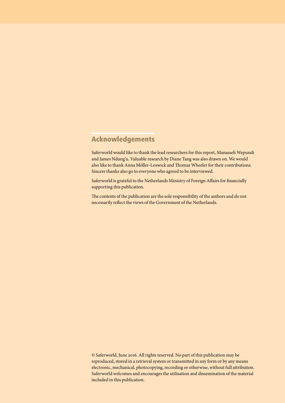#### Acknowledgements

Saferworld would like to thank the lead researchers for this report, Manasseh Wepundi and James Ndung'u. Valuable research by Diane Tang was also drawn on. We would also like to thank Anna Möller-Loswick and Thomas Wheeler for their contributions. Sincere thanks also go to everyone who agreed to be interviewed.

Saferworld is grateful to the Netherlands Ministry of Foreign Affairs for financially supporting this publication.

The contents of the publication are the sole responsibility of the authors and do not necessarily reflect the views of the Government of the Netherlands.

© Saferworld, June 2016. All rights reserved. No part of this publication may be reproduced, stored in a retrieval system or transmitted in any form or by any means electronic, mechanical, photocopying, recording or otherwise, without full attribution. Saferworld welcomes and encourages the utilisation and dissemination of the material included in this publication.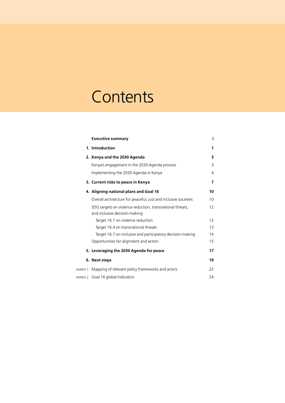### **Contents**

| <b>Executive summary</b>                                                                   | i. |
|--------------------------------------------------------------------------------------------|----|
| 1. Introduction                                                                            | 1  |
| 2. Kenya and the 2030 Agenda                                                               | 3  |
| Kenya's engagement in the 2030 Agenda process                                              | 3  |
| Implementing the 2030 Agenda in Kenya                                                      | 4  |
| 3. Current risks to peace in Kenya                                                         | 7  |
| 4. Aligning national plans and Goal 16                                                     | 10 |
| Overall architecture for peaceful, just and inclusive societies                            | 10 |
| SDG targets on violence reduction, transnational threats,<br>and inclusive decision-making | 12 |
| Target 16.1 on violence reduction                                                          | 12 |
| Target 16.4 on transnational threats                                                       | 13 |
| Target 16.7 on inclusive and participatory decision-making                                 | 14 |
| Opportunities for alignment and action                                                     | 15 |
| 5. Leveraging the 2030 Agenda for peace                                                    | 17 |
| 6. Next steps                                                                              | 19 |
| ANNEX 1: Mapping of relevant policy frameworks and actors                                  | 22 |
| ANNEX 2: Goal 16 global indicators                                                         | 24 |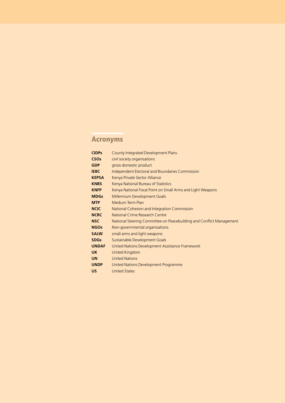### Acronyms

| <b>CIDPs</b>           | County Integrated Development Plans                                  |
|------------------------|----------------------------------------------------------------------|
| <b>CSO<sub>s</sub></b> | civil society organisations                                          |
| <b>GDP</b>             | gross domestic product                                               |
| <b>IEBC</b>            | <b>Independent Electoral and Boundaries Commission</b>               |
| <b>KEPSA</b>           | Kenya Private Sector Alliance                                        |
| <b>KNBS</b>            | Kenya National Bureau of Statistics                                  |
| <b>KNFP</b>            | Kenya National Focal Point on Small Arms and Light Weapons           |
| <b>MDGs</b>            | Millennium Development Goals                                         |
| <b>MTP</b>             | Medium Term Plan                                                     |
| <b>NCIC</b>            | National Cohesion and Integration Commission                         |
| <b>NCRC</b>            | National Crime Research Centre                                       |
| <b>NSC</b>             | National Steering Committee on Peacebuilding and Conflict Management |
| <b>NGOs</b>            | Non-governmental organisations                                       |
| <b>SALW</b>            | small arms and light weapons                                         |
| <b>SDGs</b>            | Sustainable Development Goals                                        |
| <b>UNDAF</b>           | United Nations Development Assistance Framework                      |
| <b>UK</b>              | <b>United Kingdom</b>                                                |
| <b>UN</b>              | <b>United Nations</b>                                                |
| <b>UNDP</b>            | United Nations Development Programme                                 |
| <b>US</b>              | <b>United States</b>                                                 |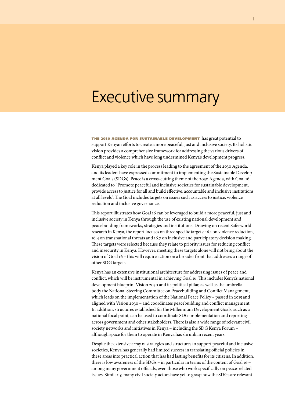### Executive summary

the <sup>2030</sup> agenda for sustainable development has great potential to support Kenyan efforts to create a more peaceful, just and inclusive society. Its holistic vision provides a comprehensive framework for addressing the various drivers of conflict and violence which have long undermined Kenya's development progress.

Kenya played a key role in the process leading to the agreement of the 2030 Agenda, and its leaders have expressed commitment to implementing the Sustainable Development Goals (SDGs). Peace is a cross-cutting theme of the 2030 Agenda, with Goal 16 dedicated to "Promote peaceful and inclusive societies for sustainable development, provide access to justice for all and build effective, accountable and inclusive institutions at all levels". The Goal includes targets on issues such as access to justice, violence reduction and inclusive governance.

This report illustrates how Goal 16 can be leveraged to build a more peaceful, just and inclusive society in Kenya through the use of existing national development and peacebuilding frameworks, strategies and institutions. Drawing on recent Saferworld research in Kenya, the report focuses on three specific targets: 16.1 on violence reduction, 16.4 on transnational threats and 16.7 on inclusive and participatory decision making. These targets were selected because they relate to priority issues for reducing conflict and insecurity in Kenya. However, meeting these targets alone will not bring about the vision of Goal 16 – this will require action on a broader front that addresses a range of other SDG targets.

Kenya has an extensive institutional architecture for addressing issues of peace and conflict, which will be instrumental in achieving Goal 16. This includes Kenya's national development blueprint Vision 2030 and its political pillar, as well as the umbrella body the National Steering Committee on Peacebuilding and Conflict Management, which leads on the implementation of the National Peace Policy – passed in 2015 and aligned with Vision 2030 – and coordinates peacebuilding and conflict management. In addition, structures established for the Millennium Development Goals, such as a national focal point, can be used to coordinate SDG implementation and reporting across government and other stakeholders. There is also a wide range of relevant civil society networks and initiatives in Kenya – including the SDG Kenya Forum – although space for them to operate in Kenya has shrunk in recent years.

Despite the extensive array of strategies and structures to support peaceful and inclusive societies, Kenya has generally had limited success in translating official policies in these areas into practical action that has had lasting benefits for its citizens. In addition, there is low awareness of the SDGs – in particular in terms of the content of Goal 16 – among many government officials, even those who work specifically on peace-related issues. Similarly, many civil society actors have yet to grasp how the SDGs are relevant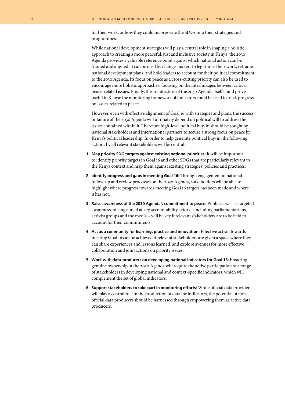for their work, or how they could incorporate the SDGs into their strategies and programmes.

While national development strategies will play a central role in shaping a holistic approach to creating a more peaceful, just and inclusive society in Kenya, the 2030 Agenda provides a valuable reference point against which national action can be framed and aligned. It can be used by change-makers to legitimise their work, reframe national development plans, and hold leaders to account for their political commitment to the 2030 Agenda. Its focus on peace as a cross-cutting priority can also be used to encourage more holistic approaches, focusing on the interlinkages between critical peace-related issues. Finally, the architecture of the 2030 Agenda itself could prove useful in Kenya: the monitoring framework of indicators could be used to track progress on issues related to peace.

However, even with effective alignment of Goal 16 with strategies and plans, the success or failure of the 2030 Agenda will ultimately depend on political will to address the issues contained within it. Therefore high-level political buy-in should be sought by national stakeholders and international partners to secure a strong focus on peace by Kenya's political leadership. In order to help generate political buy-in, the following actions by all relevant stakeholders will be central:

- **1. Map priority SDG targets against existing national priorities:** It will be important to identify priority targets in Goal 16 and other SDGs that are particularly relevant to the Kenya context and map them against existing strategies, policies and practices.
- **2. Identify progress and gaps in meeting Goal 16:** Through engagement in national follow-up and review processes on the 2030 Agenda, stakeholders will be able to highlight where progress towards meeting Goal 16 targets has been made and where it has not.
- **3. Raise awareness of the 2030 Agenda's commitment to peace:** Public as well as targeted awareness-raising aimed at key accountability actors – including parliamentarians, activist groups and the media – will be key if relevant stakeholders are to be held to account for their commitments.
- **4. Act as a community for learning, practice and innovation:** Effective action towards meeting Goal 16 can be achieved if relevant stakeholders are given a space where they can share experiences and lessons learned, and explore avenues for more effective collaboration and joint actions on priority issues.
- **5. Work with data-producers on developing national indicators for Goal 16:** Ensuring genuine ownership of the 2030 Agenda will require the active participation of a range of stakeholders in developing national and context-specific indicators, which will complement the set of global indicators.
- **6. Support stakeholders to take part in monitoring efforts:** While official data providers will play a central role in the production of data for indicators, the potential of nonofficial data producers should be harnessed through empowering them as active data producers.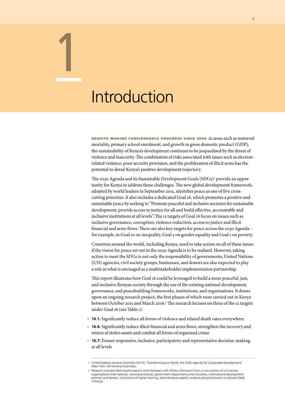### Introduction

1

despite making considerable progress since 2000 in areas such as maternal mortality, primary school enrolment, and growth in gross domestic product (GDP), the sustainability of Kenya's development continues to be jeopardised by the threat of violence and insecurity. The combination of risks associated with issues such as electionrelated violence, poor security provision, and the proliferation of illicit arms has the potential to derail Kenya's positive development trajectory.

The 2030 Agenda and its Sustainable Development Goals (SDGs)<sup>1</sup> provide an opportunity for Kenya to address these challenges. The new global development framework, adopted by world leaders in September 2015, identifies peace as one of five crosscutting priorities. It also includes a dedicated Goal 16, which promotes a positive and sustainable peace by seeking to "Promote peaceful and inclusive societies for sustainable development, provide access to justice for all and build effective, accountable and inclusive institutions at all levels". The 12 targets of Goal 16 focus on issues such as inclusive governance, corruption, violence reduction, access to justice and illicit financial and arms flows. There are also key targets for peace across the 2030 Agenda – for example, in Goal 10 on inequality, Goal 5 on gender equality and Goal 1 on poverty.

Countries around the world, including Kenya, need to take action on all of these issues if the vision for peace set out in the 2030 Agenda is to be realised. However, taking action to meet the SDGs is not only the responsibility of governments; United Nations (UN) agencies, civil society groups, businesses, and donors are also expected to play a role in what is envisaged as a multistakeholder implementation partnership.

This report illustrates how Goal 16 could be leveraged to build a more peaceful, just, and inclusive Kenyan society through the use of the existing national development, governance, and peacebuilding frameworks, institutions, and organisations. It draws upon an ongoing research project, the first phases of which were carried out in Kenya between October 2015 and March 2016.2 The research focuses on three of the 12 targets under Goal 16 (see Table 1):

- **16.1:** Significantly reduce all forms of violence and related death rates everywhere
- **16.4:** Significantly reduce illicit financial and arms flows, strengthen the recovery and return of stolen assets and combat all forms of organised crime
- **n 16.7:** Ensure responsive, inclusive, participatory and representative decision-making at all levels

**<sup>1</sup>** United Nations General Assembly (2015), 'Transforming our World: the 2030 Agenda for Sustainable Development' (New York: UN General Assembly).

**<sup>2</sup>** Research included desk-based research and interviews with 39 key informants from a cross section of civil society organisations (international, national and local), government departments and ministries, international development partners and donors, institutions of higher learning, and individual experts, analysts and practitioners in relevant fields in Kenya.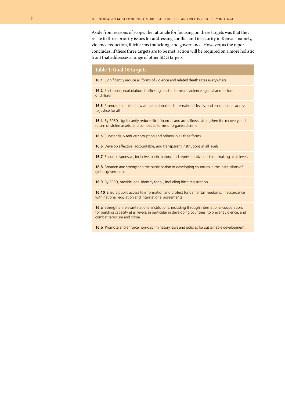Aside from reasons of scope, the rationale for focusing on these targets was that they relate to three priority issues for addressing conflict and insecurity in Kenya – namely, violence reduction, illicit arms trafficking, and governance. However, as the report concludes, if these three targets are to be met, action will be required on a more holistic front that addresses a range of other SDG targets.

#### **Table 1: Goal 16 targets**

**16.1** Significantly reduce all forms of violence and related death rates everywhere

**16.2** End abuse, exploitation, trafficking, and all forms of violence against and torture of children

**16.3** Promote the rule of law at the national and international levels, and ensure equal access to justice for all

**16.4** By 2030, significantly reduce illicit financial and arms flows, strengthen the recovery and return of stolen assets, and combat all forms of organised crime

**16.5** Substantially reduce corruption and bribery in all their forms

**16.6** Develop effective, accountable, and transparent institutions at all levels

**16.7** Ensure responsive, inclusive, participatory, and representative decision-making at all levels

**16.8** Broaden and strengthen the participation of developing countries in the institutions of global governance

**16.9** By 2030, provide legal identity for all, including birth registration

**16.10** Ensure public access to information and protect fundamental freedoms, in accordance with national legislation and international agreements

**16.a** Strengthen relevant national institutions, including through international cooperation, for building capacity at all levels, in particular in developing countries, to prevent violence, and combat terrorism and crime

**16.b** Promote and enforce non-discriminatory laws and policies for sustainable development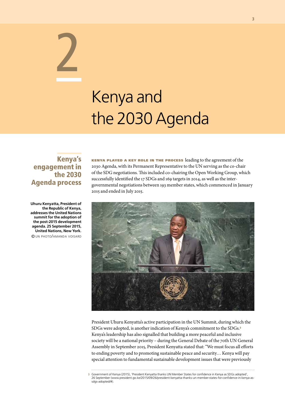# Kenya and the 2030 Agenda

#### Kenya's engagement in the 2030 Agenda process

2

**Uhuru Kenyatta, President of the Republic of Kenya, addresses the United Nations summit for the adoption of the post-2015 development agenda. 25 September 2015, United Nations, New York.** © un photo/amanda voisard

kenya played <sup>a</sup> key role in the process leading to the agreement of the 2030 Agenda, with its Permanent Representative to the UN serving as the co-chair of the SDG negotiations. This included co-chairing the Open Working Group, which successfully identified the 17 SDGs and 169 targets in 2014, as well as the intergovernmental negotiations between 193 member states, which commenced in January 2015 and ended in July 2015.



President Uhuru Kenyatta's active participation in the UN Summit, during which the SDGs were adopted, is another indication of Kenya's commitment to the SDGs.<sup>3</sup> Kenya's leadership has also signalled that building a more peaceful and inclusive society will be a national priority – during the General Debate of the 70th UN General Assembly in September 2015, President Kenyatta stated that: "We must focus all efforts to ending poverty and to promoting sustainable peace and security… Kenya will pay special attention to fundamental sustainable development issues that were previously

**3** Government of Kenya (2015), 'President Kenyatta thanks UN Member States for confidence in Kenya as SDGs adopted', 26 September (www.president.go.ke/2015/09/26/president-kenyatta-thanks-un-member-states-for-confidence-in-kenya-assdgs-adopted/#).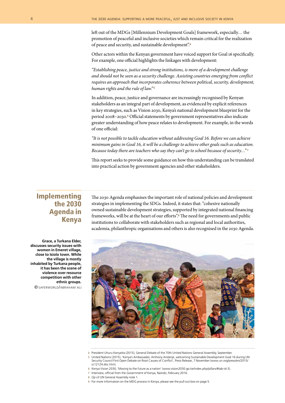left out of the MDGs [Millennium Development Goals] framework, especially… the promotion of peaceful and inclusive societies which remain critical for the realization of peace and security, and sustainable development".<sup>4</sup>

Other actors within the Kenyan government have voiced support for Goal 16 specifically. For example, one official highlights the linkages with development:

*"Establishing peace, justice and strong institutions, is more of a development challenge and should not be seen as a security challenge. Assisting countries emerging from conflict requires an approach that incorporates coherence between political, security, development, human rights and the rule of law."* <sup>5</sup>

In addition, peace, justice and governance are increasingly recognised by Kenyan stakeholders as an integral part of development, as evidenced by explicit references in key strategies, such as Vision 2030, Kenya's national development blueprint for the period 2008–2030.6 Official statements by government representatives also indicate greater understanding of how peace relates to development. For example, in the words of one official:

*"It is not possible to tackle education without addressing Goal 16. Before we can achieve minimum gains in Goal 16, it will be a challenge to achieve other goals such as education. Because today there are teachers who say they can't go to school because of security…"* <sup>7</sup>

This report seeks to provide some guidance on how this understanding can be translated into practical action by government agencies and other stakeholders.

#### Implementing the 2030 Agenda in Kenya

The 2030 Agenda emphasises the important role of national policies and development strategies in implementing the SDGs. Indeed, it states that: "cohesive nationally owned sustainable development strategies, supported by integrated national financing frameworks, will be at the heart of our efforts".8 The need for governments and public institutions to collaborate with stakeholders such as regional and local authorities, academia, philanthropic organisations and others is also recognised in the 2030 Agenda.



**<sup>4</sup>** President Uhuru Kenyatta (2015), General Debate of the 70th United Nations General Assembly, September.

**6** Kenya Vision 2030, 'Moving to the future as a nation' (www.vision2030.go.ke/index.php/pillars/#tab-id-3).

- **8** *Op cit* UN General Assembly note 1.
- **9** For more information on the MDG process in Kenya, please see the pull-out box on page 5.

**Grace, a Turkana Elder, discusses security issues with women in Emeret village, close to Isiolo town. While the village is mostly inhabited by Turkana people, it has been the scene of violence over resource competition with other ethnic groups.**

© saferworld/abraham ali

**<sup>5</sup>** United Nations (2015), 'Kenya's Ambassador, Anthony Andanje, welcoming Sustainable Development Goal 16 during UN Security Council First Open Debate on Root Causes of Conflict', Press Release, 7 November (www.un.org/press/en/2015/ sc12124.doc.htm).

**<sup>7</sup>** Interview, official from the Government of Kenya, Nairobi, February 2016.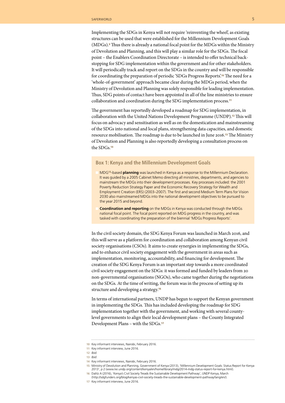Implementing the SDGs in Kenya will not require 'reinventing the wheel', as existing structures can be used that were established for the Millennium Development Goals (MDGs).<sup>9</sup> Thus there is already a national focal point for the MDGs within the Ministry of Devolution and Planning, and this will play a similar role for the SDGs. The focal point – the Enablers Coordination Directorate – is intended to offer technical backstopping for SDG implementation within the government and for other stakeholders. It will periodically track and report on the SDGs in the country and will be responsible for coordinating the preparation of periodic 'SDGs Progress Reports'.10 The need for a 'whole-of-government' approach became clear during the MDGs period, when the Ministry of Devolution and Planning was solely responsible for leading implementation. Thus, SDG points of contact have been appointed in all of the line ministries to ensure collaboration and coordination during the SDG implementation process.<sup>11</sup>

The government has reportedly developed a roadmap for SDG implementation, in collaboration with the United Nations Development Programme (UNDP).12 This will focus on advocacy and sensitisation as well as on the domestication and mainstreaming of the SDGs into national and local plans, strengthening data capacities, and domestic resource mobilisation. The roadmap is due to be launched in June 2016.13 The Ministry of Devolution and Planning is also reportedly developing a consultation process on the SDGs.<sup>14</sup>

#### **Box 1: Kenya and the Millennium Development Goals**

n MDG<sup>15</sup>-based **planning** was launched in Kenya as a response to the Millennium Declaration. It was guided by a 2005 Cabinet Memo directing all ministries, departments, and agencies to mainstream the MDGs into their development processes. Key processes included: the 2001 Poverty Reduction Strategy Paper and the Economic Recovery Strategy for Wealth and Employment Creation (ERS) (2003–2007). The first and second Medium Term Plans for Vision 2030 also mainstreamed MDGs into the national development objectives to be pursued to the year 2015 and beyond.

**Coordination and reporting** on the MDGs in Kenya was conducted through the MDGs national focal point. The focal point reported on MDG progress in the country, and was tasked with coordinating the preparation of the biennial 'MDGs Progress Reports'.

In the civil society domain, the SDG Kenya Forum was launched in March 2016, and this will serve as a platform for coordination and collaboration among Kenyan civil society organisations (CSOs). It aims to create synergies in implementing the SDGs, and to enhance civil society engagement with the government in areas such as implementation, monitoring, accountability, and financing for development. The creation of the SDG Kenya Forum is an important step towards a more coordinated civil society engagement on the SDGs: it was formed and funded by leaders from 20 non-governmental organisations (NGOs), who came together during the negotiations on the SDGs. At the time of writing, the forum was in the process of setting up its structure and developing a strategy.<sup>16</sup>

In terms of international partners, UNDP has begun to support the Kenyan government in implementing the SDGs. This has included developing the roadmap for SDG implementation together with the government, and working with several countylevel governments to align their local development plans – the County Integrated Development Plans – with the SDGs.17

- **13** *Ibid*.
- **14** Key informant interviews, Nairobi, February 2016.
- **15** Ministry of Devolution and Planning, Government of Kenya (2013), 'Millennium Development Goals: Status Report for Kenya 2013', p 2 (www.ke.undp.org/content/kenya/en/home/library/mdg/2014-mdg-status-report-for-kenya.html).
- **16** Dalitz A (2016), 'Kenya's Civil Society Treads the Sustainable Development Pathway', UNDP Kenya, March
- (http://sdgfunders.org/blog/kenyas-civil-society-treads-the-sustainable-development-pathway/lang/en/).

**<sup>10</sup>** Key informant interviews, Nairobi, February 2016.

**<sup>11</sup>** Key informant interview, June 2016.

**<sup>12</sup>** *Ibid*.

**<sup>17</sup>** Key informant interview, June 2016.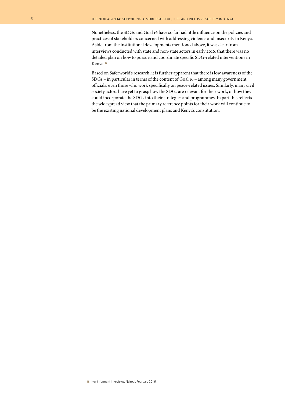Nonetheless, the SDGs and Goal 16 have so far had little influence on the policies and practices of stakeholders concerned with addressing violence and insecurity in Kenya. Aside from the institutional developments mentioned above, it was clear from interviews conducted with state and non-state actors in early 2016, that there was no detailed plan on how to pursue and coordinate specific SDG-related interventions in Kenya.<sup>18</sup>

Based on Saferworld's research, it is further apparent that there is low awareness of the SDGs – in particular in terms of the content of Goal 16 – among many government officials, even those who work specifically on peace-related issues. Similarly, many civil society actors have yet to grasp how the SDGs are relevant for their work, or how they could incorporate the SDGs into their strategies and programmes. In part this reflects the widespread view that the primary reference points for their work will continue to be the existing national development plans and Kenya's constitution.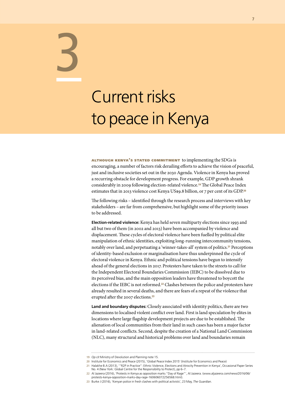## Current risks to peace in Kenya

3

although kenya's stated commitment to implementing the SDGs is encouraging, a number of factors risk derailing efforts to achieve the vision of peaceful, just and inclusive societies set out in the 2030 Agenda. Violence in Kenya has proved a recurring obstacle for development progress. For example, GDP growth shrank considerably in 2009 following election-related violence.19 The Global Peace Index estimates that in 2013 violence cost Kenya US\$9.8 billion, or 7 per cent of its GDP.<sup>20</sup>

The following risks – identified through the research process and interviews with key stakeholders – are far from comprehensive, but highlight some of the priority issues to be addressed.

**Election-related violence:** Kenya has held seven multiparty elections since 1993 and all but two of them (in 2002 and 2013) have been accompanied by violence and displacement. These cycles of electoral violence have been fuelled by political elite manipulation of ethnic identities, exploiting long-running intercommunity tensions, notably over land, and perpetuating a 'winner-takes-all' system of politics.<sup>21</sup> Perceptions of identity-based exclusion or marginalisation have thus underpinned the cycle of electoral violence in Kenya. Ethnic and political tensions have begun to intensify ahead of the general elections in 2017. Protesters have taken to the streets to call for the Independent Electoral Boundaries Commission (IEBC) to be dissolved due to its perceived bias, and the main opposition leaders have threatened to boycott the elections if the IEBC is not reformed.22 Clashes between the police and protesters have already resulted in several deaths, and there are fears of a repeat of the violence that erupted after the 2007 elections.<sup>23</sup>

**Land and boundary disputes:** Closely associated with identity politics, there are two dimensions to localised violent conflict over land. First is land speculation by elites in locations where large flagship development projects are due to be established. The alienation of local communities from their land in such cases has been a major factor in land-related conflicts. Second, despite the creation of a National Land Commission (NLC), many structural and historical problems over land and boundaries remain

**23** Burke J (2016), 'Kenyan police in fresh clashes with political activists', 23 May, *The Guardian*.

**<sup>19</sup>** *Op cit* Ministry of Devolution and Planning note 15.

**<sup>20</sup>** Institute for Economics and Peace (2015), 'Global Peace Index 2015' (Institute for Economics and Peace)

**<sup>21</sup>** Halakhe B.A (2013), '"R2P in Practice": Ethnic Violence, Elections and Atrocity Prevention in Kenya', Occasional Paper Series No. 4 (New York: Global Centre for the Responsibility to Protect), pp 6–7.

**<sup>22</sup>** Al Jazeera (2016), 'Protests in Kenya as opposition marks "Day of Rage"', Al Jazeera. (www.aljazeera.com/news/2016/06/ protests-kenya-opposition-marks-day-rage-160606072256568.html).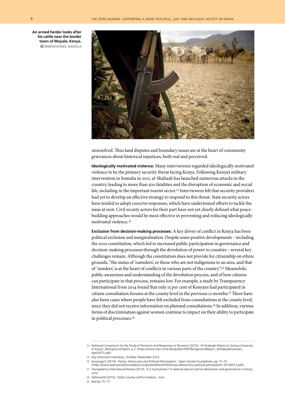**An armed herder looks after his cattle near the border town of Moyale, Kenya.** © irin/siegfried modola



unresolved. Thus land disputes and boundary issues are at the heart of community grievances about historical injustices, both real and perceived.

**Ideologically motivated violence:** Many interviewees regarded ideologically motivated violence to be the primary security threat facing Kenya. Following Kenya's military intervention in Somalia in 2011, al-Shahaab has launched numerous attacks in the country, leading to more than 500 fatalities and the disruption of economic and social life, including in the important tourist sector.<sup>24</sup> Interviewees felt that security providers had yet to develop an effective strategy to respond to this threat. State security actors have tended to adopt coercive responses, which have undermined efforts to tackle the issue at root. Civil society actors for their part have not yet clearly defined what peacebuilding approaches would be most effective in preventing and reducing ideologically motivated violence.<sup>25</sup>

**Exclusion from decision-making processes:** A key driver of conflict in Kenya has been political exclusion and marginalisation. Despite some positive developments – including the 2010 constitution, which led to increased public participation in governance and decision-making processes through the devolution of power to counties – several key challenges remain. Although the constitution does not provide for citizenship on ethnic grounds, "the status of 'outsiders', or those who are not indigenous to an area, and that of 'insiders', is at the heart of conflicts in various parts of the country".26 Meanwhile, public awareness and understanding of the devolution process, and of how citizens can participate in that process, remains low. For example, a study by Transparency International from 2014 found that only 15 per cent of Kenyans had participated in citizen consultation forums at the county level in the previous 12 months.27 There have also been cases where people have felt excluded from consultations at the county level, since they did not receive information on planned consultations.<sup>28</sup> In addition, various forms of discrimination against women continue to impact on their ability to participate in political processes.<sup>29</sup>

- **26** Kanyinga K (2014), 'Kenya: Democracy and Political Participation', Open Society Foundations, pp 73–74
- (https://www.opensocietyfoundations.org/sites/default/files/kenya-democracy-political-participation-20140514.pdf).
- **27** Transparency International Kenya (2014), 'Is it my business? A national opinion poll on devolution and governance in Kenya', June.
- **28** Saferworld (2015), 'Isiolo County conflict analysis', June.
- **29** *Ibid* pp 15–17.

**<sup>24</sup>** National Consortium for the Study of Terrorism and Responses to Terrorism (2015), 'Al-Shabaab Attack on Garissa University in Kenya', Background report, p 2. (https://www.start.umd.edu/pubs/STARTBackgroundReport\_alShabaabGarissaU\_ April2015.pdf).

**<sup>25</sup>** Key informant interviews, October–November 2015.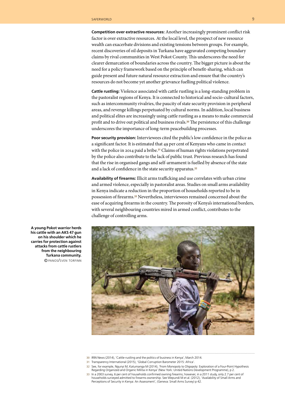**Competition over extractive resources:** Another increasingly prominent conflict risk factor is over extractive resources. At the local level, the prospect of new resource wealth can exacerbate divisions and existing tensions between groups. For example, recent discoveries of oil deposits in Turkana have aggravated competing boundary claims by rival communities in West Pokot County. This underscores the need for clearer demarcation of boundaries across the country. The bigger picture is about the need for a policy framework based on the principle of benefit-sharing, which can guide present and future natural resource extraction and ensure that the country's resources do not become yet another grievance fuelling political violence.

**Cattle rustling:** Violence associated with cattle rustling is a long-standing problem in the pastoralist regions of Kenya. It is connected to historical and socio-cultural factors, such as intercommunity rivalries, the paucity of state security provision in peripheral areas, and revenge killings perpetuated by cultural norms. In addition, local business and political elites are increasingly using cattle rustling as a means to make commercial profit and to drive out political and business rivals.30 The persistence of this challenge underscores the importance of long-term peacebuilding processes.

**Poor security provision:** Interviewees cited the public's low confidence in the police as a significant factor. It is estimated that 49 per cent of Kenyans who came in contact with the police in 2014 paid a bribe.<sup>31</sup> Claims of human rights violations perpetrated by the police also contribute to the lack of public trust. Previous research has found that the rise in organised gangs and self-armament is fuelled by absence of the state and a lack of confidence in the state security apparatus.<sup>32</sup>

**Availability of firearms:** Illicit arms trafficking and use correlates with urban crime and armed violence, especially in pastoralist areas. Studies on small arms availability in Kenya indicate a reduction in the proportion of households reported to be in possession of firearms.33 Nevertheless, interviewees remained concerned about the ease of acquiring firearms in the country. The porosity of Kenya's international borders, with several neighbouring countries mired in armed conflict, contributes to the challenge of controlling arms.



**A young Pokot warrior herds his cattle with an AKS 47 gun on his shoulder which he carries for protection against attacks from cattle rustlers from the neighbouring Turkana community.** © panos/sven torfinn

**<sup>30</sup>** IRIN News (2014), 'Cattle-rustling and the politics of business in Kenya', March 2014.

**<sup>31</sup>** Transparency International (2015), 'Global Corruption Barometer 2015: Africa'.

**<sup>32</sup>** See, for example, Ngunyi M, Katumanga M (2014), 'From Monopoly to Oligopoly: Exploration of a Four-Point Hypothesis Regarding Organized and Organic Militia in Kenya' (New York: United Nations Development Programme), p 2.

**<sup>33</sup>** In a 2003 survey, 6 per cent of households confirmed owning firearms; however, in a 2011 study, only 2.7 per cent of households surveyed admitted to firearms ownership. See Wepundi M et al. (2012), 'Availability of Small Arms and Perceptions of Security in Kenya: An Assessment', (Geneva: Small Arms Survey) p 42.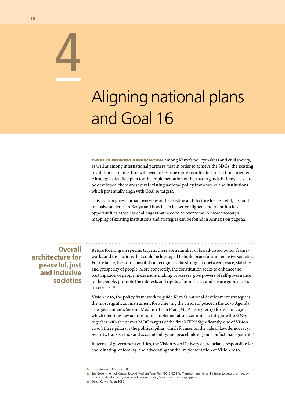# Aligning national plans and Goal 16

**THERE IS GROWING APPRECIATION** among Kenya's policymakers and civil society, as well as among international partners, that in order to achieve the SDGs, the existing institutional architecture will need to become more coordinated and action-oriented. Although a detailed plan for the implementation of the 2030 Agenda in Kenya is yet to be developed, there are several existing national policy frameworks and institutions which potentially align with Goal 16 targets.

This section gives a broad overview of the existing architecture for peaceful, just and inclusive societies in Kenya and how it can be better aligned, and identifies key opportunities as well as challenges that need to be overcome. A more thorough mapping of existing institutions and strategies can be found in Annex 1 on page 22.

**Overall** architecture for peaceful, just and inclusive societies

Before focusing on specific targets, there are a number of broad-based policy frameworks and institutions that could be leveraged to build peaceful and inclusive societies. For instance, the 2010 constitution recognises the strong link between peace, stability, and prosperity of people. More concretely, the constitution seeks to enhance the participation of people in decision-making processes, give powers of self-governance to the people, promote the interests and rights of minorities, and ensure good access to services.<sup>34</sup>

Vision 2030, the policy framework to guide Kenya's national development strategy, is the most significant instrument for achieving the vision of peace in the 2030 Agenda. The government's Second Medium Term Plan (MTP) (2013–2017) for Vision 2030, which identifies key actions for its implementation, commits to integrate the SDGs together with the unmet MDG targets of the first MTP.35 Significantly, one of Vision 2030's three pillars is the political pillar, which focuses on the rule of law, democracy, security, transparency and accountability, and peacebuilding and conflict management.<sup>36</sup>

In terms of government entities, the Vision 2030 Delivery Secretariat is responsible for coordinating, enforcing, and advocating for the implementation of Vision 2030.

4

**<sup>34</sup>** Constitution of Kenya 2010.

**<sup>35</sup>** See Government of Kenya, Second Medium Term Plan (2013–2017), 'Transforming Kenya: Pathway to devolution, socio-

economic development, equity and national unity', Government of Kenya, pp 5–6.

**<sup>36</sup>** *Op cit* Kenya Vision 2030.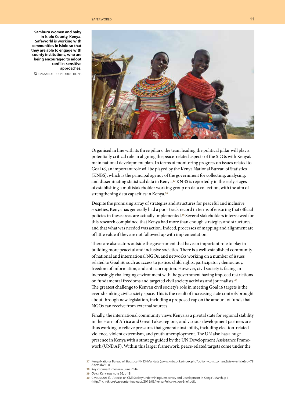#### saferworld 11 and 12 and 12 and 12 and 12 and 12 and 12 and 12 and 12 and 12 and 12 and 12 and 12 and 12 and 1

**Samburu women and baby in Isiolo County, Kenya. Safeworld is working with communities in Isiolo so that they are able to engage with county institutions, who are being encouraged to adopt conflict-sensitive approaches.**

© emmanuel <sup>o</sup> productions



Organised in line with its three pillars, the team leading the political pillar will play a potentially critical role in aligning the peace-related aspects of the SDGs with Kenya's main national development plan. In terms of monitoring progress on issues related to Goal 16, an important role will be played by the Kenya National Bureau of Statistics (KNBS), which is the principal agency of the government for collecting, analysing, and disseminating statistical data in Kenya.37 KNBS is reportedly in the early stages of establishing a multistakeholder working group on data collection, with the aim of strengthening data capacities in Kenya.<sup>38</sup>

Despite the promising array of strategies and structures for peaceful and inclusive societies, Kenya has generally had a poor track record in terms of ensuring that official policies in these areas are actually implemented.39 Several stakeholders interviewed for this research complained that Kenya had more than enough strategies and structures, and that what was needed was action. Indeed, processes of mapping and alignment are of little value if they are not followed up with implementation.

There are also actors outside the government that have an important role to play in building more peaceful and inclusive societies. There is a well-established community of national and international NGOs, and networks working on a number of issues related to Goal 16, such as access to justice, child rights, participatory democracy, freedom of information, and anti-corruption. However, civil society is facing an increasingly challenging environment with the government having imposed restrictions on fundamental freedoms and targeted civil society activists and journalists.<sup>40</sup> The greatest challenge to Kenyan civil society's role in meeting Goal 16 targets is the ever-shrinking civil society space. This is the result of increasing state controls brought about through new legislation, including a proposed cap on the amount of funds that NGOs can receive from external sources.

Finally, the international community views Kenya as a pivotal state for regional stability in the Horn of Africa and Great Lakes regions, and various development partners are thus working to relieve pressures that generate instability, including election-related violence, violent extremism, and youth unemployment. The UN also has a huge presence in Kenya with a strategy guided by the UN Development Assistance Framework (UNDAF). Within this larger framework, peace-related targets come under the

**<sup>37</sup>** Kenya National Bureau of Statistics (KNBS) Mandate (www.knbs.or.ke/index.php?option=com\_content&view=article&id=78

<sup>&</sup>amp;Itemid=503).

**<sup>38</sup>** Key informant interview, June 2016.

**<sup>39</sup>** *Op cit* Kanyinga note 26, p 18.

**<sup>40</sup>** Civicus (2015), 'Attacks on Civil Society Undermining Democracy and Development in Kenya', March, p 1 (http://nchrdk.org/wp-content/uploads/2015/03/Kenya-Policy-Action-Brief.pdf).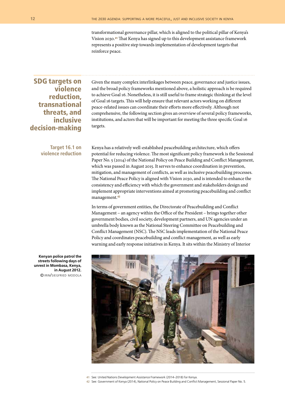transformational governance pillar, which is aligned to the political pillar of Kenya's Vision 2030.41 That Kenya has signed up to this development assistance framework represents a positive step towards implementation of development targets that reinforce peace.

#### SDG targets on violence reduction, transnational threats, and inclusive decision-making

**Target 16.1 on violence reduction** Given the many complex interlinkages between peace, governance and justice issues, and the broad policy frameworks mentioned above, a holistic approach is be required to achieve Goal 16. Nonetheless, it is still useful to frame strategic thinking at the level of Goal 16 targets. This will help ensure that relevant actors working on different peace-related issues can coordinate their efforts more effectively. Although not comprehensive, the following section gives an overview of several policy frameworks, institutions, and actors that will be important for meeting the three specific Goal 16 targets.

Kenya has a relatively well-established peacebuilding architecture, which offers potential for reducing violence. The most significant policy framework is the Sessional Paper No. 5 (2014) of the National Policy on Peace Building and Conflict Management, which was passed in August 2015. It serves to enhance coordination in prevention, mitigation, and management of conflicts, as well as inclusive peacebuilding processes. The National Peace Policy is aligned with Vision 2030, and is intended to enhance the consistency and efficiency with which the government and stakeholders design and implement appropriate interventions aimed at promoting peacebuilding and conflict management.<sup>42</sup>

In terms of government entities, the Directorate of Peacebuilding and Conflict Management – an agency within the Office of the President – brings together other government bodies, civil society, development partners, and UN agencies under an umbrella body known as the National Steering Committee on Peacebuilding and Conflict Management (NSC). The NSC leads implementation of the National Peace Policy and coordinates peacebuilding and conflict management, as well as early warning and early response initiatives in Kenya. It sits within the Ministry of Interior

**Kenyan police patrol the streets following days of unrest in Mombasa, Kenya, in August 2012.** © irin/siegfried modola



- **41** See: United Nations Development Assistance Framework (2014–2018) for Kenya.
- **42** See: Government of Kenya (2014), National Policy on Peace Building and Conflict Management, Sessional Paper No. 5.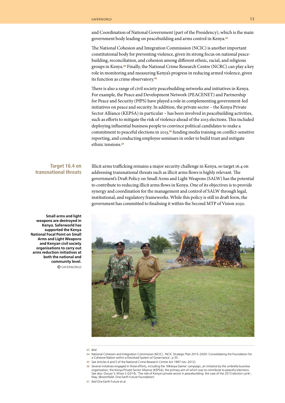and Coordination of National Government (part of the Presidency), which is the main government body leading on peacebuilding and arms control in Kenya.<sup>43</sup>

The National Cohesion and Integration Commission (NCIC) is another important constitutional body for preventing violence, given its strong focus on national peacebuilding, reconciliation, and cohesion among different ethnic, racial, and religious groups in Kenya.44 Finally, the National Crime Research Centre (NCRC) can play a key role in monitoring and measuring Kenya's progress in reducing armed violence, given its function as crime observatory.<sup>45</sup>

There is also a range of civil society peacebuilding networks and initiatives in Kenya. For example, the Peace and Development Network (PEACENET) and Partnership for Peace and Security (PfPS) have played a role in complementing government-led initiatives on peace and security. In addition, the private sector – the Kenya Private Sector Alliance (KEPSA) in particular – has been involved in peacebuilding activities, such as efforts to mitigate the risk of violence ahead of the 2013 elections. This included deploying influential business people to convince political candidates to make a commitment to peaceful elections in 2013,46 funding media training on conflict-sensitive reporting, and conducting employee seminars in order to build trust and mitigate ethnic tensions.<sup>47</sup>

#### **Target 16.4 on transnational threats**

Illicit arms trafficking remains a major security challenge in Kenya, so target 16.4 on addressing transnational threats such as illicit arms flows is highly relevant. The government's Draft Policy on Small Arms and Light Weapons (SALW) has the potential to contribute to reducing illicit arms flows in Kenya. One of its objectives is to provide synergy and coordination for the management and control of SALW through legal, institutional, and regulatory frameworks. While this policy is still in draft form, the government has committed to finalising it within the Second MTP of Vision 2030.



**Arms and Light Weapons and Kenyan civil society organisations to carry out arms reduction initiatives at both the national and community level.** © saferworld

**Small arms and light weapons are destroyed in Kenya. Saferworld has supported the Kenya National Focal Point on Small** 

- **43** *Ibid*.
- **44** National Cohesion and Integration Commission (NCIC), 'NCIC Strategic Plan 2015–2020: Consolidating the Foundation for a Cohesive Nation within a Devolved System of Governance', p 35.
- **45** See Articles 4 and 5 of the National Crime Research Centre Act 1997 (rev. 2012).
- 46 Several initiatives engaged in these efforts, including the 'Mkenya Daima' campaign, an initiative by the umbrella business<br>.organisation, the Kenya Private Sector Alliance (KEPSA), the primary aim of which was to contr See also: Owuor V, Wisor S (2014), 'The role of Kenya's private sector in peacebuilding: the case of the 2013 election cycle', May. (Broomfield: One Earth Future Foundation)

**47** *Ibid* One Earth Future et al.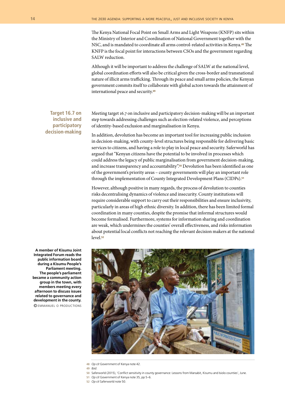The Kenya National Focal Point on Small Arms and Light Weapons (KNFP) sits within the Ministry of Interior and Coordination of National Government together with the NSC, and is mandated to coordinate all arms control-related activities in Kenya.48 The KNFP is the focal point for interactions between CSOs and the government regarding SALW reduction.

Although it will be important to address the challenge of SALW at the national level, global coordination efforts will also be critical given the cross-border and transnational nature of illicit arms trafficking. Through its peace and small arms policies, the Kenyan government commits itself to collaborate with global actors towards the attainment of international peace and security.<sup>49</sup>

**Target 16.7 on inclusive and participatory decision-making** Meeting target 16.7 on inclusive and participatory decision-making will be an important step towards addressing challenges such as election-related violence, and perceptions of identity-based exclusion and marginalisation in Kenya.

In addition, devolution has become an important tool for increasing public inclusion in decision-making, with county-level structures being responsible for delivering basic services to citizens, and having a role to play in local peace and security. Saferworld has argued that "Kenyan citizens have the potential to be involved in processes which could address the legacy of public marginalisation from government decision-making, and increase transparency and accountability".<sup>50</sup> Devolution has been identified as one of the government's priority areas – county governments will play an important role through the implementation of County Integrated Development Plans (CIDPs).<sup>51</sup>

However, although positive in many regards, the process of devolution to counties risks decentralising dynamics of violence and insecurity. County institutions will require considerable support to carry out their responsibilities and ensure inclusivity, particularly in areas of high ethnic diversity. In addition, there has been limited formal coordination in many counties, despite the promise that informal structures would become formalised. Furthermore, systems for information sharing and coordination are weak, which undermines the counties' overall effectiveness, and risks information about potential local conflicts not reaching the relevant decision makers at the national level.<sup>52</sup>



- **48** *Op cit* Government of Kenya note 42.
- **49** *Ibid*.
- **50** Saferworld (2015), 'Conflict sensitivity in county governance: Lessons from Marsabit, Kisumu and Isiolo counties', June.
- **51** *Op cit* Government of Kenya note 35, pp 5–6.
- **52** *Op cit* Saferworld note 50.

**Integrated Forum reads the public information board during a Kisumu People's Parliament meeting. The people's parliament became a community action group in the town, with members meeting every afternoon to discuss issues related to governance and development in the county.** © emmanuel <sup>o</sup> productions

**A member of Kisumu Joint**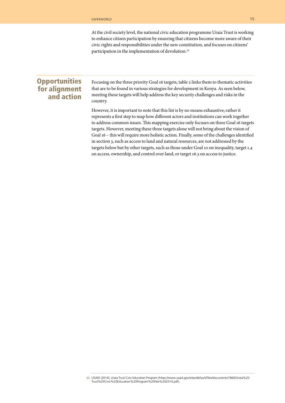At the civil society level, the national civic education programme Uraia Trust is working to enhance citizen participation by ensuring that citizens become more aware of their civic rights and responsibilities under the new constitution, and focuses on citizens' participation in the implementation of devolution.<sup>53</sup>

#### **Opportunities** for alignment and action

Focusing on the three priority Goal 16 targets, table 2 links them to thematic activities that are to be found in various strategies for development in Kenya. As seen below, meeting these targets will help address the key security challenges and risks in the country.

However, it is important to note that this list is by no means exhaustive; rather it represents a first step to map how different actors and institutions can work together to address common issues. This mapping exercise only focuses on three Goal 16 targets targets. However, meeting these three targets alone will not bring about the vision of Goal 16 – this will require more holistic action. Finally, some of the challenges identified in section 3, such as access to land and natural resources, are not addressed by the targets below but by other targets, such as those under Goal 10 on inequality, target 1.4 on access, ownership, and control over land, or target 16.3 on access to justice.

**<sup>53</sup>** USAID (2014), Uraia Trust Civic Education Program (https://www.usaid.gov/sites/default/files/documents/1860/Uraia%20 Trust%20Civic%20Education%20Program%20Feb%202014.pdf).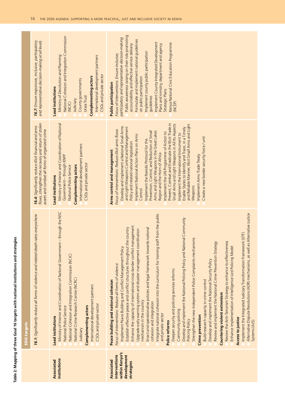| ֚֚        |
|-----------|
|           |
|           |
|           |
|           |
|           |
|           |
|           |
|           |
|           |
|           |
|           |
|           |
|           |
|           |
|           |
|           |
|           |
|           |
|           |
|           |
|           |
|           |
|           |
|           |
|           |
|           |
|           |
|           |
|           |
|           |
|           |
|           |
|           |
|           |
|           |
|           |
| ֚֓֡֡<br>۱ |
|           |
|           |
|           |
|           |
|           |
|           |
|           |
|           |
|           |
|           |
|           |
|           |
|           |
|           |
|           |
|           |
|           |
|           |
|           |
|           |
|           |
|           |
|           |
|           |
|           |
|           |
|           |
|           |
|           |
|           |
|           |
|           |
|           |
|           |

|                                                                            | <b>SDG</b> targets                                                                                                                                                                                                                                                                                                                                                                                                                                                                                                                                                                                                                                                                                                                                                                                                                                                                                                                                                                                                                                                                                                                                                                                                                                                                                                                                                                                                                                                |                                                                                                                                                                                                                                                                                                                                                                                                                                                                                                                                                                                                                                                                                                                                                                                                                                                      |                                                                                                                                                                                                                                                                                                                                                                                                                                                                                                                                     |
|----------------------------------------------------------------------------|-------------------------------------------------------------------------------------------------------------------------------------------------------------------------------------------------------------------------------------------------------------------------------------------------------------------------------------------------------------------------------------------------------------------------------------------------------------------------------------------------------------------------------------------------------------------------------------------------------------------------------------------------------------------------------------------------------------------------------------------------------------------------------------------------------------------------------------------------------------------------------------------------------------------------------------------------------------------------------------------------------------------------------------------------------------------------------------------------------------------------------------------------------------------------------------------------------------------------------------------------------------------------------------------------------------------------------------------------------------------------------------------------------------------------------------------------------------------|------------------------------------------------------------------------------------------------------------------------------------------------------------------------------------------------------------------------------------------------------------------------------------------------------------------------------------------------------------------------------------------------------------------------------------------------------------------------------------------------------------------------------------------------------------------------------------------------------------------------------------------------------------------------------------------------------------------------------------------------------------------------------------------------------------------------------------------------------|-------------------------------------------------------------------------------------------------------------------------------------------------------------------------------------------------------------------------------------------------------------------------------------------------------------------------------------------------------------------------------------------------------------------------------------------------------------------------------------------------------------------------------------|
|                                                                            | 16.1: Significantly reduce all forms of violence and related death rates everywhere                                                                                                                                                                                                                                                                                                                                                                                                                                                                                                                                                                                                                                                                                                                                                                                                                                                                                                                                                                                                                                                                                                                                                                                                                                                                                                                                                                               | flows, strengthen the recovery and return of stolen<br>16.4: Significantly reduce illicit financial and arms<br>assets and combat all forms of organized crime                                                                                                                                                                                                                                                                                                                                                                                                                                                                                                                                                                                                                                                                                       | 16.7: Ensure responsive, inclusive, participatory<br>and representative decision-making at all levels                                                                                                                                                                                                                                                                                                                                                                                                                               |
| institutions<br><b>Associated</b>                                          | Ministry of Interior and Coordination of National Government - through the NSC<br>National Cohesion and Integration Commission (NCIC)<br>National Crime Research Centre (NCRC)<br>International development partners<br>CSOs and private sector<br>Complementing actors<br>National Police Service<br><b>Lead institutions</b><br>Judiciary                                                                                                                                                                                                                                                                                                                                                                                                                                                                                                                                                                                                                                                                                                                                                                                                                                                                                                                                                                                                                                                                                                                       | Ministry of Interior and Coordination of National<br>International development partners<br>Government - through KNFP<br>CSOs and private sector<br><b>Complementing actors</b><br>National Police Service<br><b>Lead institutions</b>                                                                                                                                                                                                                                                                                                                                                                                                                                                                                                                                                                                                                | National Cohesion and Integration Commission<br>Ministry of Devolution and Planning<br>International development partners<br>CSOs and private sector<br>Complementing actors<br>County governments<br><b>Lead institutions</b><br>Uraia Trust<br>Judiciary<br>(NCIC)                                                                                                                                                                                                                                                                |
| within Kenya's<br>interventions<br>development<br>Associated<br>strategies | Alternative Dispute Resolutions (ADR) mechanisms, as well as Alternative Justice<br>staff from the public<br>Develop and implement the National Policing Policy and National Community<br>management<br>Establish effective peace and conflict structures throughout the country<br>Enact and operationalise policies and legal framework towards national<br>Upgrade early warning system and disaster management coordination<br>Implement the Integrated Judiciary Transformation Framework (IJTF)<br>Strengthen the new Independent Police Complaints mechanisms<br>Review the Anti-Terrorism Strategy to enhance its effectiveness<br>Review and implement the National Crime Prevention Strategy<br>Enhance implementation of Intelligence-Led Policing Model<br>Implement Peace Building and Conflict Management Policy<br>Integrate national cohesion into the curriculum for training<br>Enhance the capacity of international cross-border conflict<br>Develop and implement the National Security Policy<br>Focus of interventions: Reduce all forms of violence<br>Deepen security and policing services reforms<br>Build research capacity in crime control<br>Peace building and national cohesion<br>Countering violent extremism<br>mechanism in the country<br>cohesion and integration<br>Community policing<br>and private sector<br><b>Crime prevention</b><br><b>Access to justice</b><br>Policing Policy<br>Police reforms<br>Systems (AJS) | Prevent, Combat and Eradicate the Illicit Trade in<br>Small Arms and Light Weapons in All Its Aspects<br>and Reliable Manner, Illicit Small Arms and Light<br>Develop and implement a National Small Arms<br>and Light Weapons Control and Management<br>Enable States to Identify and Trace, in a Timely<br>Focus of interventions: Reduce illicit arms flows<br>Arms and Light Weapons in the Great Lakes<br>Prevention, Control, and Reduction of Small<br>Implement the UN Programme of Action to<br>Implement the International Instrument to<br>Implement National Action Plans on Arms<br>Create a new border security force / unit<br>Implement the Nairobi Protocol for the<br>Policy and related national legislation<br>Arms control and management<br>Region and the Horn of Africa<br>Implement Arms Trade Treaty<br>Weapons<br>Control | Public awareness raising on their role promoting<br>participatory and representative decision-making<br>Formulate and implement national guidelines<br>Implement County Integrated Development<br>Kenya National Civic Education Programme<br>accountability and effective service delivery<br>Plans and ministry, department and agency<br>Implement county public participation<br>Focus of interventions: Ensure inclusive,<br>on public participation<br><b>Public participation</b><br>Strategic Plans<br>guidelines<br>(NCEP) |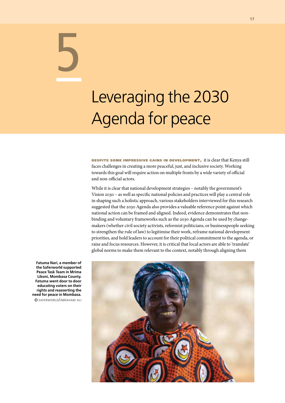## Leveraging the 2030 Agenda for peace

despite some impressive gains in development, it is clear that Kenya still faces challenges in creating a more peaceful, just, and inclusive society. Working towards this goal will require action on multiple fronts by a wide variety of official and non-official actors.

While it is clear that national development strategies – notably the government's Vision 2030 – as well as specific national policies and practices will play a central role in shaping such a holistic approach, various stakeholders interviewed for this research suggested that the 2030 Agenda also provides a valuable reference point against which national action can be framed and aligned. Indeed, evidence demonstrates that nonbinding and voluntary frameworks such as the 2030 Agenda can be used by changemakers (whether civil society activists, reformist politicians, or businesspeople seeking to strengthen the rule of law) to legitimise their work, reframe national development priorities, and hold leaders to account for their political commitment to the agenda, or raise and focus resources. However, it is critical that local actors are able to 'translate' global norms to make them relevant to the context, notably through aligning them

**Fatuma Nari, a member of the Saferworld supported Peace Task Team in Mrima Likoni, Mombasa County. Fatuma went door to door educating voters on their rights and reasserting the need for peace in Mombasa.** © saferworld/abraham ali

5

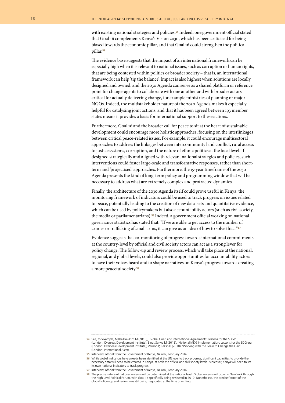with existing national strategies and policies.<sup>54</sup> Indeed, one government official stated that Goal 16 complements Kenya's Vision 2030, which has been criticised for being biased towards the economic pillar, and that Goal 16 could strengthen the political pillar.<sup>55</sup>

The evidence base suggests that the impact of an international framework can be especially high when it is relevant to national issues, such as corruption or human rights, that are being contested within politics or broader society – that is, an international framework can help 'tip the balance'. Impact is also highest when solutions are locally designed and owned, and the 2030 Agenda can serve as a shared platform or reference point for change-agents to collaborate with one another and with broader actors critical for actually delivering change, for example ministries of planning or major NGOs. Indeed, the multistakeholder nature of the 2030 Agenda makes it especially helpful for catalysing joint actions; and that it has been agreed between 193 member states means it provides a basis for international support to these actions.

Furthermore, Goal 16 and the broader call for peace to sit at the heart of sustainable development could encourage more holistic approaches, focusing on the interlinkages between critical peace-related issues. For example, it could encourage multisectoral approaches to address the linkages between intercommunity land conflict, rural access to justice systems, corruption, and the nature of ethnic politics at the local level. If designed strategically and aligned with relevant national strategies and policies, such interventions could foster large-scale and transformative responses, rather than shortterm and 'projectised' approaches. Furthermore, the 15-year timeframe of the 2030 Agenda presents the kind of long-term policy and programming window that will be necessary to address what are extremely complex and protracted dynamics.

Finally, the architecture of the 2030 Agenda itself could prove useful in Kenya: the monitoring framework of indicators could be used to track progress on issues related to peace, potentially leading to the creation of new data-sets and quantitative evidence, which can be used by policymakers but also accountability actors (such as civil society, the media or parliamentarians).56 Indeed, a government official working on national governance statistics has stated that: "If we are able to get access to the number of crimes or trafficking of small arms, it can give us an idea of how to solve this..."<sup>57</sup>

Evidence suggests that co-monitoring of progress towards international commitments at the country-level by official and civil society actors can act as a strong lever for policy change. The follow-up and review process, which will take place at the national, regional, and global levels, could also provide opportunities for accountability actors to have their voices heard and to shape narratives on Kenya's progress towards creating a more peaceful society.58

**<sup>54</sup>** See, for example, Miller-Dawkins M (2015), 'Global Goals and International Agreements: Lessons for the SDGs' (London: Overseas Development Institute); Binat Sarwa M (2015), 'National MDG Implementation: Lessons for the SDG era' (London: Overseas Development Institute); Vernon P, Baksh D (2010), 'Working with the Grain to Change the Gain' (London: International Alert).

**<sup>55</sup>** Interview, official from the Government of Kenya, Nairobi, February 2016.

**<sup>56</sup>** While global indicators have already been identified at the UN level to track progress, significant capacities to provide the necessary data will need to be created in Kenya, at both the official and civil society levels. Moreover, Kenya will need to set its own national indicators to track progress.

**<sup>57</sup>** Interview, official from the Government of Kenya, Nairobi, February 2016.

**<sup>58</sup>** The precise nature of national reviews will be determined at the national level. Global reviews will occur in New York through the High Level Political Forum, with Goal 16 specifically being reviewed in 2019. Nonetheless, the precise format of the global follow-up and review was still being negotiated at the time of writing.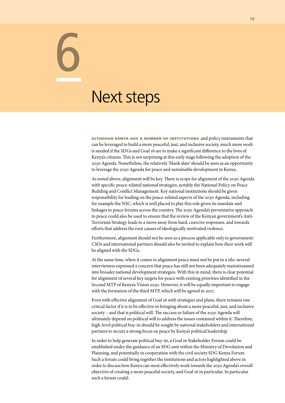### Next steps

6

although kenya has <sup>a</sup> number of institutions and policy instruments that can be leveraged to build a more peaceful, just, and inclusive society, much more work is needed if the SDGs and Goal 16 are to make a significant difference to the lives of Kenya's citizens. This is not surprising at this early stage following the adoption of the 2030 Agenda. Nonetheless, the relatively 'blank slate' should be seen as an opportunity to leverage the 2030 Agenda for peace and sustainable development in Kenya.

As noted above, alignment will be key. There is scope for alignment of the 2030 Agenda with specific peace-related national strategies, notably the National Policy on Peace Building and Conflict Management. Key national institutions should be given responsibility for leading on the peace-related aspects of the 2030 Agenda, including for example the NSC, which is well placed to play this role given its mandate and linkages to peace forums across the country. The 2030 Agenda's preventative approach to peace could also be used to ensure that the review of the Kenyan government's Anti-Terrorism Strategy leads to a move away from hard, coercive responses, and towards efforts that address the root causes of ideologically motivated violence.

Furthermore, alignment should not be seen as a process applicable only to government: CSOs and international partners should also be invited to explain how their work will be aligned with the SDGs.

At the same time, when it comes to alignment peace must not be put in a silo: several interviewees expressed a concern that peace has still not been adequately mainstreamed into broader national development strategies. With this in mind, there is clear potential for alignment of several key targets for peace with existing priorities identified in the Second MTP of Kenya's Vision 2030. However, it will be equally important to engage with the formation of the third MTP, which will be agreed in 2017.

Even with effective alignment of Goal 16 with strategies and plans, there remains one critical factor if it is to be effective in bringing about a more peaceful, just, and inclusive society – and that is political will. The success or failure of the 2030 Agenda will ultimately depend on political will to address the issues contained within it. Therefore, high-level political buy-in should be sought by national stakeholders and international partners to secure a strong focus on peace by Kenya's political leadership.

In order to help generate political buy-in, a Goal 16 Stakeholder Forum could be established under the guidance of an SDG unit within the Ministry of Devolution and Planning, and potentially in cooperation with the civil society SDG Kenya Forum. Such a forum could bring together the institutions and actors highlighted above in order to discuss how Kenya can most effectively work towards the 2030 Agenda's overall objective of creating a more peaceful society, and Goal 16 in particular. In particular such a forum could: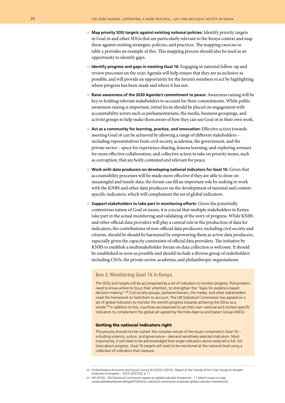- Map priority SDG targets against existing national policies: Identify priority targets in Goal 16 and other SDGs that are particularly relevant to the Kenya context and map them against existing strategies, policies, and practices. The mapping exercise in table 2 provides an example of this. This mapping process should also be used as an opportunity to identify gaps.
- **n** Identify progress and gaps in meeting Goal 16: Engaging in national follow-up and review processes on the 2030 Agenda will help ensure that they are as inclusive as possible, and will provide an opportunity for the forum's members to act by highlighting where progress has been made and where it has not.
- **n** Raise awareness of the 2030 Agenda's commitment to peace: Awareness raising will be key to holding relevant stakeholders to account for their commitments. While public awareness raising is important, initial focus should be placed on engagement with accountability actors such as parliamentarians, the media, business groupings, and activist groups to help make them aware of how they can use Goal 16 in their own work.
- Act as a community for learning, practice, and innovation: *Effective action towards* meeting Goal 16 can be achieved by allowing a range of different stakeholders – including representatives from civil society, academia, the government, and the private sector – space for experience sharing, lessons learning, and exploring avenues for more effective collaboration, and collective action to take on priority issues, such as corruption, that are hotly contested and relevant for peace.
- **n** Work with data producers on developing national indicators for Goal 16: Given that accountability processes will be made more effective if they are able to draw on meaningful and timely data, the forum can fill an important role by seeking to work with the KNBS and other data producers on the development of national and contextspecific indicators, which will complement the set of global indicators.
- **Support stakeholders to take part in monitoring efforts:** Given the potentially contentious nature of Goal 16 issues, it is crucial that multiple stakeholders in Kenya take part in the actual monitoring and validating of the story of progress. While KNBS and other official data providers will play a central role in the production of data for indicators, the contributions of non-official data producers, including civil society and citizens, should be should be harnessed by empowering them as active data producers, especially given the capacity constraints of official data providers. The initiative by KNBS to establish a multistakeholder forum on data collection is welcome. It should be established as soon as possible and should include a diverse group of stakeholders including CSOs, the private sector, academia, and philanthropic organisations.

#### **Box 2: Monitoring Goal 16 in Kenya**

The SDGs and targets will be accompanied by a set of indicators to monitor progress. Policymakers need to know where to focus their attention, to strengthen the "basis for evidence-based decision-making".<sup>59</sup> Civil society groups, parliamentarians, the media, and other stakeholders need the framework to hold them to account. The UN Statistical Commission has agreed on a set of global indicators to monitor the world's progress towards achieving the SDGs as a whole.<sup>60</sup> In addition to this, countries are expected to set their own national and context-specific indicators to complement the global set agreed by the Inter-Agency and Expert Group (IAEG).

#### Getting the national indicators right

This process should not be rushed: the complex nature of the issues contained in Goal 16 – including violence, justice, and governance – demand sensitively selected indicators. Most importantly, it will need to be acknowledged that single indicators alone rarely tell a full, fair story about progress. Goal 16 targets will need to be monitored at the national level using a collection of indicators that measure:

**<sup>59</sup>** United Nations Economic and Social Council (ECOSOC) (2015), 'Report of the Friends of the Chair Group on broader measures of progress' – E/CN.3/2015/2, p 11.

**<sup>60</sup>** UN (2016), 'UN Statistical Commission agrees on global indicator framework', 11 March (www.un.org/ sustainabledevelopment/blog/2016/03/un-statistical-commission-endorses-global-indicator-framework/).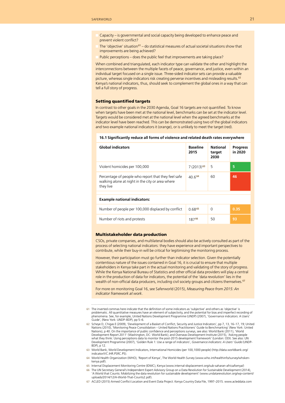- Capacity is governmental and social capacity being developed to enhance peace and prevent violent conflict?
- The 'objective' situation<sup>61</sup> do statistical measures of actual societal situations show that improvements are being achieved?
- Public perceptions does the public feel that improvements are taking place?

When combined and triangulated, each indicator type can validate the other and highlight the interconnections between the multiple facets of peace, governance, and justice, even within an individual target focused on a single issue. Three-sided indicator sets can provide a valuable picture, whereas single indicators risk creating perverse incentives and misleading results.<sup>62</sup> Kenya's national indicators, thus, should seek to complement the global ones in a way that can tell a full story of progress.

#### Setting quantified targets

In contrast to other goals in the 2030 Agenda, Goal 16 targets are not quantified. To know when targets have been met at the national level, benchmarks can be set at the indicator level. Targets would be considered met at the national level when the agreed benchmarks at the indicator level have been reached. This can be demonstrated using two of the global indicators and two example national indicators it (orange), or is unlikely to meet the target (red).

|  |  |  | 16.1 Significantly reduce all forms of violence and related death rates everywhere |
|--|--|--|------------------------------------------------------------------------------------|
|--|--|--|------------------------------------------------------------------------------------|

| <b>Global indicators</b>                                                                                             | <b>Baseline</b><br>2015 | <b>National</b><br>target<br>2030 | <b>Progress</b><br>in 2020 |
|----------------------------------------------------------------------------------------------------------------------|-------------------------|-----------------------------------|----------------------------|
| Violent homicides per 100,000                                                                                        | $7(2013)$ <sup>63</sup> | 5                                 | 5                          |
| Percentage of people who report that they feel safe<br>walking alone at night in the city or area where<br>they live | 40.664                  | 60                                | 46                         |

#### **Example national indicators:**

| Number of people per 100,000 displaced by conflict | 0.68 <sup>65</sup> |    | 0.35 |
|----------------------------------------------------|--------------------|----|------|
| Number of riots and protests                       | 18766              | 50 | -93  |

#### Multistakeholder data production

CSOs, private companies, and multilateral bodies should also be actively consulted as part of the process of selecting national indicators: they have experience and important perspectives to contribute, while their buy-in will be critical for legitimising the monitoring process.

However, their participation must go further than indicator selection. Given the potentially contentious nature of the issues contained in Goal 16, it is crucial to ensure that multiple stakeholders in Kenya take part in the actual monitoring and validating of the story of progress. While the Kenya National Bureau of Statistics and other official data providers will play a central role in the production of data for indicators, the potential of the 'data revolution' lies in the wealth of non-official data producers, including civil society groups and citizens themselves.<sup>67</sup>

For more on monitoring Goal 16, see Saferworld (2015), *Measuring Peace from 2015: An indicator framework at work*.

- **61** The inverted commas here indicate that the definition of some indicators as 'subjective' and others as 'objective' is problematic. All quantitative measures have an element of subjectivity, and the potential for bias and imperfect recording of phenomena. See, for example, United Nations Development Programme (UNDP) (2007), 'Governance indicators: A Users' Guide', (New York: UNDP–BDP), pp 5–6.
- **62** Scheye D, Chigas E (2009), 'Development of a Basket of Conflict, Security and Justice Indicators', pp 7, 13, 16–17, 19; United Nations (2010), 'Monitoring Peace Consolidation – United Nations Practitioners' Guide to Benchmarking' (New York: United Nations), p 40. On the importance of public confidence and perceptions surveys, see also: World Bank (2011), 'World<br>Development Report 2011' (Washington, DC: World Bank); and Overseas Development Institute (2015), 'Asking what they think: Using perceptions data to monitor the post-2015 development framework' (London: ODI). See also: UN Development Programme (2007), 'Golden Rule 1: Use a range of indicators', *Governance indicators: A Users' Guide* (UNDP-BDP), p 12.
- **63** World Bank, World Development Indicators, International Homicides (per 100,1000 people) (http://data.worldbank.org/ indicator/VC.IHR.PSRC.P5).
- **64** World Health Organization (WHO), 'Report of Kenya', The World Health Survey (www.who.int/healthinfo/survey/whskenkenya.pdf).
- **65** Internal Displacement Monitoring Centre (IDMC), Kenya (www.internal-displacement.org/sub-saharan-africa/kenya/)
- **66** The UN Secretary General's Independent Expert Advisory Group on a Data Revolution for Sustainable Development (2014), 'A World that Counts: Mobilizing the data revolution for sustainable development' (www.undatarevolution.org/wp-content/ uploads/2014/12/A-World-That-Counts2.pdf).
- **67** ACLED (2015) Armed Conflict Location and Event Data Project: Kenya Country Data File, 1997–2015. www.acleddata.com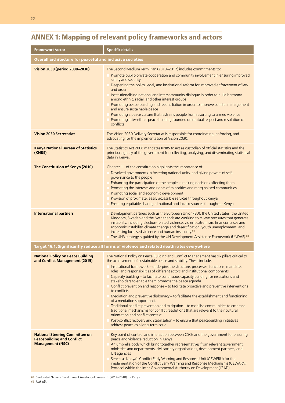### Annex 1: Mapping of relevant policy frameworks and actors

| Framework/actor                                                                                       | <b>Specific details</b>                                                                                                                                                                                                                                                                                                                                                                                                                                                                                                                                                                                                                                                                                                                                                                                                                                                                                                                                                                                                                                                    |
|-------------------------------------------------------------------------------------------------------|----------------------------------------------------------------------------------------------------------------------------------------------------------------------------------------------------------------------------------------------------------------------------------------------------------------------------------------------------------------------------------------------------------------------------------------------------------------------------------------------------------------------------------------------------------------------------------------------------------------------------------------------------------------------------------------------------------------------------------------------------------------------------------------------------------------------------------------------------------------------------------------------------------------------------------------------------------------------------------------------------------------------------------------------------------------------------|
| <b>Overall architecture for peaceful and inclusive societies</b>                                      |                                                                                                                                                                                                                                                                                                                                                                                                                                                                                                                                                                                                                                                                                                                                                                                                                                                                                                                                                                                                                                                                            |
| Vision 2030 (period 2008-2030)                                                                        | The Second Medium Term Plan (2013-2017) includes commitments to:<br>Promote public-private cooperation and community involvement in ensuring improved<br>safety and security<br>Deepening the policy, legal, and institutional reform for improved enforcement of law<br>and order<br>Institutionalising national and intercommunity dialogue in order to build harmony<br>among ethnic, racial, and other interest groups<br>Promoting peace-building and reconciliation in order to improve conflict management<br>and ensure sustainable peace<br>Promoting a peace culture that restrains people from resorting to armed violence<br>Promoting inter-ethnic peace building founded on mutual respect and resolution of<br>conflicts                                                                                                                                                                                                                                                                                                                                    |
| <b>Vision 2030 Secretariat</b>                                                                        | The Vision 2030 Delivery Secretariat is responsible for coordinating, enforcing, and<br>advocating for the implementation of Vision 2030.                                                                                                                                                                                                                                                                                                                                                                                                                                                                                                                                                                                                                                                                                                                                                                                                                                                                                                                                  |
| <b>Kenya National Bureau of Statistics</b><br>(KNBS)                                                  | The Statistics Act 2006 mandates KNBS to act as custodian of official statistics and the<br>principal agency of the government for collecting, analysing, and disseminating statistical<br>data in Kenya.                                                                                                                                                                                                                                                                                                                                                                                                                                                                                                                                                                                                                                                                                                                                                                                                                                                                  |
| The Constitution of Kenya (2010)                                                                      | Chapter 11 of the constitution highlights the importance of:<br>Devolved governments in fostering national unity, and giving powers of self-<br>governance to the people<br>Enhancing the participation of the people in making decisions affecting them<br>Promoting the interests and rights of minorities and marginalised communities<br>Promoting social and economic development<br>Provision of proximate, easily accessible services throughout Kenya<br>Ensuring equitable sharing of national and local resources throughout Kenya                                                                                                                                                                                                                                                                                                                                                                                                                                                                                                                               |
| <b>International partners</b>                                                                         | Development partners such as the European Union (EU), the United States, the United<br>Kingdom, Sweden and the Netherlands are working to relieve pressures that generate<br>instability, including election-related violence, violent extremism, financial crises and<br>economic instability, climate change and desertification, youth unemployment, and<br>increasing localised violence and human insecurity. <sup>68</sup><br>The UN's strategy is guided by the UN Development Assistance Framework (UNDAF). <sup>69</sup>                                                                                                                                                                                                                                                                                                                                                                                                                                                                                                                                          |
|                                                                                                       | Target 16.1: Significantly reduce all forms of violence and related death rates everywhere                                                                                                                                                                                                                                                                                                                                                                                                                                                                                                                                                                                                                                                                                                                                                                                                                                                                                                                                                                                 |
| <b>National Policy on Peace Building</b><br>and Conflict Management (2015)                            | The National Policy on Peace Building and Conflict Management has six pillars critical to<br>the achievement of sustainable peace and stability. These include:<br>Institutional framework – underpins the structure, processes, functions, mandate,<br>roles, and responsibilities of different actors and institutional components.<br>Capacity building - to facilitate continuous capacity building for institutions and<br>stakeholders to enable them promote the peace agenda.<br>Conflict prevention and response - to facilitate proactive and preventive interventions<br>to conflicts.<br>Mediation and preventive diplomacy - to facilitate the establishment and functioning<br>of a mediation support unit.<br>Traditional conflict prevention and mitigation - to mobilise communities to embrace<br>traditional mechanisms for conflict resolutions that are relevant to their cultural<br>orientation and conflict context.<br>Post-conflict recovery and stabilisation - to ensure that peacebuilding initiatives<br>address peace as a long-term issue. |
| <b>National Steering Committee on</b><br><b>Peacebuilding and Conflict</b><br><b>Management (NSC)</b> | Key point of contact and interaction between CSOs and the government for ensuring<br>peace and violence reduction in Kenya.<br>An umbrella body which bring together representatives from relevant government<br>ministries and departments, civil society organisations, development partners, and<br>UN agencies<br>Serves as Kenya's Conflict Early Warning and Response Unit (CEWERU) for the<br>implementation of the Conflict Early Warning and Response Mechanisms (CEWARN)<br>Protocol within the Inter-Governmental Authority on Development (IGAD).                                                                                                                                                                                                                                                                                                                                                                                                                                                                                                              |

**68** See United Nations Development Assistance Framework (2014–2018) for Kenya.

**69** *Ibid*, p5.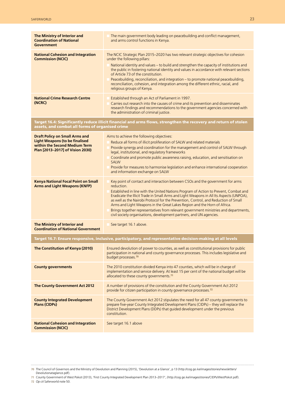| The Ministry of Interior and<br><b>Coordination of National</b><br><b>Government</b>                                                                | The main government body leading on peacebuilding and conflict management,<br>and arms control functions in Kenya.                                                                                                                                                                                                                                                                                                                                                                                                                                                                                               |
|-----------------------------------------------------------------------------------------------------------------------------------------------------|------------------------------------------------------------------------------------------------------------------------------------------------------------------------------------------------------------------------------------------------------------------------------------------------------------------------------------------------------------------------------------------------------------------------------------------------------------------------------------------------------------------------------------------------------------------------------------------------------------------|
| <b>National Cohesion and Integration</b><br><b>Commission (NCIC)</b>                                                                                | The NCIC Strategic Plan 2015-2020 has two relevant strategic objectives for cohesion<br>under the following pillars:<br>National identity and values - to build and strengthen the capacity of institutions and<br>the public in fostering national identity and values in accordance with relevant sections<br>of Article 73 of the constitution.<br>Peacebuilding, reconciliation, and integration - to promote national peacebuilding,<br>reconciliation, cohesion, and integration among the different ethnic, racial, and<br>religious groups of Kenya.                                                     |
| <b>National Crime Research Centre</b><br>(NCRC)                                                                                                     | Established through an Act of Parliament in 1997.<br>Carries out research into the causes of crime and its prevention and disseminates<br>research findings and recommendations to the government agencies concerned with<br>the administration of criminal justice.                                                                                                                                                                                                                                                                                                                                             |
| assets, and combat all forms of organised crime                                                                                                     | Target 16.4: Significantly reduce illicit financial and arms flows, strengthen the recovery and return of stolen                                                                                                                                                                                                                                                                                                                                                                                                                                                                                                 |
| <b>Draft Policy on Small Arms and</b><br><b>Light Weapons (to be finalised</b><br>within the Second Medium Term<br>Plan [2013-2017] of Vision 2030) | Aims to achieve the following objectives:<br>Reduce all forms of illicit proliferation of SALW and related materials<br>Provide synergy and coordination for the management and control of SALW through<br>legal, institutional, and regulatory frameworks<br>Coordinate and promote public awareness raising, education, and sensitisation on<br><b>SALW</b><br>Provide for measures to harmonise legislation and enhance international cooperation<br>and information exchange on SALW                                                                                                                         |
| <b>Kenya National Focal Point on Small</b><br><b>Arms and Light Weapons (KNFP)</b>                                                                  | Key point of contact and interaction between CSOs and the government for arms<br>reduction.<br>Established in line with the United Nations Program of Action to Prevent, Combat and<br>Eradicate the Illicit Trade in Small Arms and Light Weapons in All Its Aspects (UNPOA),<br>as well as the Nairobi Protocol for the Prevention, Control, and Reduction of Small<br>Arms and Light Weapons in the Great Lakes Region and the Horn of Africa.<br>Brings together representatives from relevant government ministries and departments,<br>civil society organisations, development partners, and UN agencies. |
| The Ministry of Interior and<br><b>Coordination of National Government</b>                                                                          | See target 16.1 above.                                                                                                                                                                                                                                                                                                                                                                                                                                                                                                                                                                                           |
|                                                                                                                                                     | Target 16.7: Ensure responsive, inclusive, participatory, and representative decision-making at all levels                                                                                                                                                                                                                                                                                                                                                                                                                                                                                                       |
| The Constitution of Kenya (2010)                                                                                                                    | Ensured devolution of power to counties, as well as constitutional provisions for public<br>participation in national and county governance processes. This includes legislative and<br>budget processes. <sup>70</sup>                                                                                                                                                                                                                                                                                                                                                                                          |
| <b>County governments</b>                                                                                                                           | The 2010 constitution divided Kenya into 47 counties, which will be in charge of<br>implementation and service delivery. At least 15 per cent of the national budget will be<br>allocated to these county governments. <sup>71</sup>                                                                                                                                                                                                                                                                                                                                                                             |
| The County Government Act 2012                                                                                                                      | A number of provisions of the constitution and the County Government Act 2012<br>provide for citizen participation in county governance processes. <sup>72</sup>                                                                                                                                                                                                                                                                                                                                                                                                                                                 |
| <b>County Integrated Development</b><br><b>Plans (CIDPs)</b>                                                                                        | The County Government Act 2012 stipulates the need for all 47 county governments to<br>prepare five-year County Integrated Development Plans (CIDPs) - they will replace the<br>District Development Plans (DDPs) that guided development under the previous<br>constitution.                                                                                                                                                                                                                                                                                                                                    |
| <b>National Cohesion and Integration</b><br><b>Commission (NCIC)</b>                                                                                | See target 16.1 above                                                                                                                                                                                                                                                                                                                                                                                                                                                                                                                                                                                            |

**70** The Council of Governors and the Ministry of Devolution and Planning (2015), 'Devolution at a Glance', p 13 (http://cog.go.ke/images/stories/newsletters/ Devolutionataglance.pdf).

**71** County Government of West Pokot (2013), 'First County Integrated Development Plan 2013–2017', (http://cog.go.ke/images/stories/CIDPs/WestPokot.pdf).

**72** *Op cit* Saferworld note 50.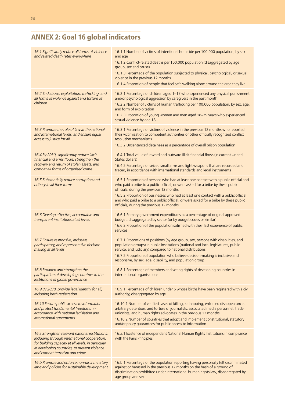### Annex 2: Goal 16 global indicators

| 16.1 Significantly reduce all forms of violence<br>and related death rates everywhere                                                                                                                                                   | 16.1.1 Number of victims of intentional homicide per 100,000 population, by sex<br>and age<br>16.1.2 Conflict-related deaths per 100,000 population (disaggregated by age<br>group, sex and cause)<br>16.1.3 Percentage of the population subjected to physical, psychological, or sexual<br>violence in the previous 12 months<br>16.1.4 Proportion of people that feel safe walking alone around the area they live                           |
|-----------------------------------------------------------------------------------------------------------------------------------------------------------------------------------------------------------------------------------------|-------------------------------------------------------------------------------------------------------------------------------------------------------------------------------------------------------------------------------------------------------------------------------------------------------------------------------------------------------------------------------------------------------------------------------------------------|
| 16.2 End abuse, exploitation, trafficking, and<br>all forms of violence against and torture of<br>children                                                                                                                              | 16.2.1 Percentage of children aged 1-17 who experienced any physical punishment<br>and/or psychological aggression by caregivers in the past month<br>16.2.2 Number of victims of human trafficking per 100,000 population, by sex, age,<br>and form of exploitation<br>16.2.3 Proportion of young women and men aged 18-29 years who experienced<br>sexual violence by age 18                                                                  |
| 16.3 Promote the rule of law at the national<br>and international levels, and ensure equal<br>access to justice for all                                                                                                                 | 16.3.1 Percentage of victims of violence in the previous 12 months who reported<br>their victimization to competent authorities or other officially recognized conflict<br>resolution mechanisms<br>16.3.2 Unsentenced detainees as a percentage of overall prison population                                                                                                                                                                   |
| 16.4 By 2030, significantly reduce illicit<br>financial and arms flows, strengthen the<br>recovery and return of stolen assets, and<br>combat all forms of organised crime                                                              | 16.4.1 Total value of inward and outward illicit financial flows (in current United<br>States dollars)<br>16.4.2 Percentage of seized small arms and light weapons that are recorded and<br>traced, in accordance with international standards and legal instruments                                                                                                                                                                            |
| 16.5 Substantially reduce corruption and<br>bribery in all their forms                                                                                                                                                                  | 16.5.1 Proportion of persons who had at least one contact with a public official and<br>who paid a bribe to a public official, or were asked for a bribe by these public<br>officials, during the previous 12 months<br>16.5.2 Proportion of businesses who had at least one contact with a public official<br>and who paid a bribe to a public official, or were asked for a bribe by these public<br>officials, during the previous 12 months |
| 16.6 Develop effective, accountable and<br>transparent institutions at all levels                                                                                                                                                       | 16.6.1 Primary government expenditures as a percentage of original approved<br>budget, disaggregated by sector (or by budget codes or similar)<br>16.6.2 Proportion of the population satisfied with their last experience of public<br>services                                                                                                                                                                                                |
| 16.7 Ensure responsive, inclusive,<br>participatory, and representative decision-<br>making at all levels                                                                                                                               | 16.7.1 Proportions of positions (by age group, sex, persons with disabilities, and<br>population groups) in public institutions (national and local legislatures, public<br>service, and judiciary) compared to national distributions<br>16.7.2 Proportion of population who believe decision-making is inclusive and<br>responsive, by sex, age, disability, and population group                                                             |
| 16.8 Broaden and strengthen the<br>participation of developing countries in the<br>institutions of global governance                                                                                                                    | 16.8.1 Percentage of members and voting rights of developing countries in<br>international organisations                                                                                                                                                                                                                                                                                                                                        |
| 16.9 By 2030, provide legal identity for all,<br>including birth registration                                                                                                                                                           | 16.9.1 Percentage of children under 5 whose births have been registered with a civil<br>authority, disaggregated by age                                                                                                                                                                                                                                                                                                                         |
| 16.10 Ensure public access to information<br>and protect fundamental freedoms, in<br>accordance with national legislation and<br>international agreements                                                                               | 16.10.1 Number of verified cases of killing, kidnapping, enforced disappearance,<br>arbitrary detention, and torture of journalists, associated media personnel, trade<br>unionists, and human rights advocates in the previous 12 months<br>16.10.2 Number of countries that adopt and implement constitutional, statutory<br>and/or policy guarantees for public access to information                                                        |
| 16.a Strengthen relevant national institutions,<br>including through international cooperation,<br>for building capacity at all levels, in particular<br>in developing countries, to prevent violence<br>and combat terrorism and crime | 16.a.1 Existence of independent National Human Rights Institutions in compliance<br>with the Paris Principles                                                                                                                                                                                                                                                                                                                                   |
| 16.b Promote and enforce non-discriminatory<br>laws and policies for sustainable development                                                                                                                                            | 16.b.1 Percentage of the population reporting having personally felt discriminated<br>against or harassed in the previous 12 months on the basis of a ground of<br>discrimination prohibited under international human rights law, disaggregated by<br>age group and sex                                                                                                                                                                        |